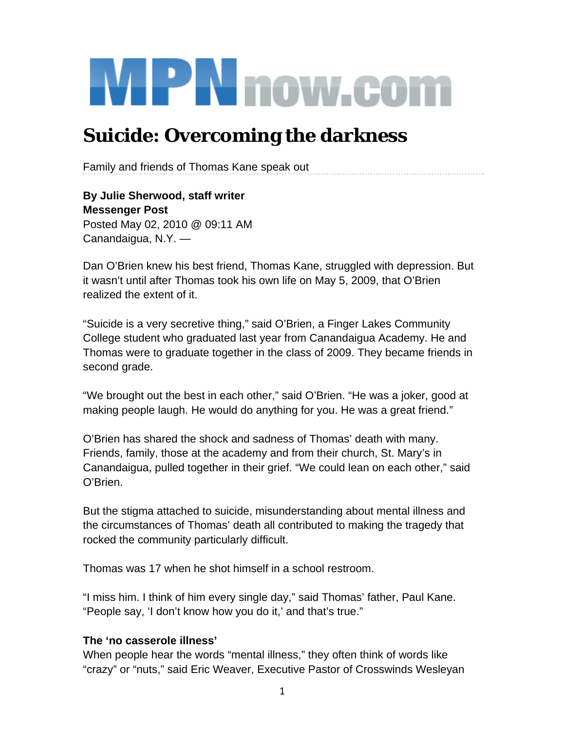# **MPN** now.com

## **Suicide: Overcoming the darkness**

Family and friends of Thomas Kane speak out

**By Julie Sherwood, staff writer Messenger Post** Posted May 02, 2010 @ 09:11 AM Canandaigua, N.Y. —

Dan O'Brien knew his best friend, Thomas Kane, struggled with depression. But it wasn't until after Thomas took his own life on May 5, 2009, that O'Brien realized the extent of it.

"Suicide is a very secretive thing," said O'Brien, a Finger Lakes Community College student who graduated last year from Canandaigua Academy. He and Thomas were to graduate together in the class of 2009. They became friends in second grade.

"We brought out the best in each other," said O'Brien. "He was a joker, good at making people laugh. He would do anything for you. He was a great friend."

O'Brien has shared the shock and sadness of Thomas' death with many. Friends, family, those at the academy and from their church, St. Mary's in Canandaigua, pulled together in their grief. "We could lean on each other," said O'Brien.

But the stigma attached to suicide, misunderstanding about mental illness and the circumstances of Thomas' death all contributed to making the tragedy that rocked the community particularly difficult.

Thomas was 17 when he shot himself in a school restroom.

"I miss him. I think of him every single day," said Thomas' father, Paul Kane. "People say, 'I don't know how you do it,' and that's true."

#### **The 'no casserole illness'**

When people hear the words "mental illness," they often think of words like "crazy" or "nuts," said Eric Weaver, Executive Pastor of Crosswinds Wesleyan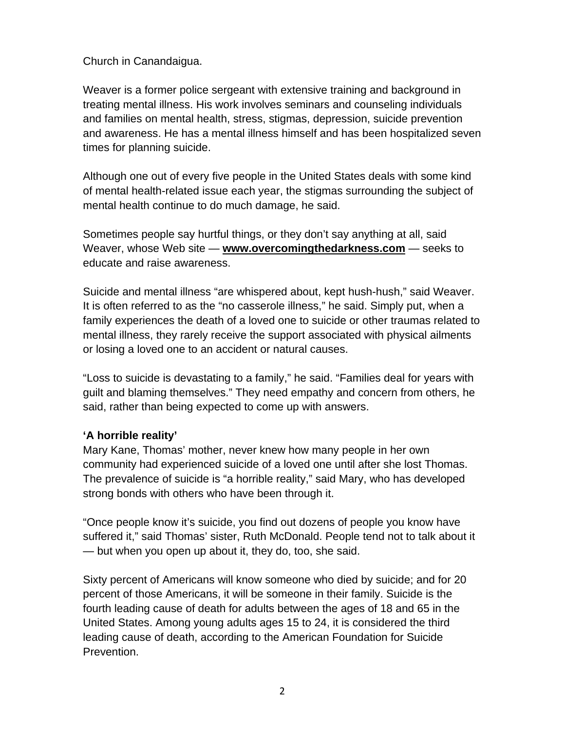Church in Canandaigua.

Weaver is a former police sergeant with extensive training and background in treating mental illness. His work involves seminars and counseling individuals and families on mental health, stress, stigmas, depression, suicide prevention and awareness. He has a mental illness himself and has been hospitalized seven times for planning suicide.

Although one out of every five people in the United States deals with some kind of mental health-related issue each year, the stigmas surrounding the subject of mental health continue to do much damage, he said.

Sometimes people say hurtful things, or they don't say anything at all, said Weaver, whose Web site — **www.overcomingthedarkness.com** — seeks to educate and raise awareness.

Suicide and mental illness "are whispered about, kept hush-hush," said Weaver. It is often referred to as the "no casserole illness," he said. Simply put, when a family experiences the death of a loved one to suicide or other traumas related to mental illness, they rarely receive the support associated with physical ailments or losing a loved one to an accident or natural causes.

"Loss to suicide is devastating to a family," he said. "Families deal for years with guilt and blaming themselves." They need empathy and concern from others, he said, rather than being expected to come up with answers.

#### **'A horrible reality'**

Mary Kane, Thomas' mother, never knew how many people in her own community had experienced suicide of a loved one until after she lost Thomas. The prevalence of suicide is "a horrible reality," said Mary, who has developed strong bonds with others who have been through it.

"Once people know it's suicide, you find out dozens of people you know have suffered it," said Thomas' sister, Ruth McDonald. People tend not to talk about it — but when you open up about it, they do, too, she said.

Sixty percent of Americans will know someone who died by suicide; and for 20 percent of those Americans, it will be someone in their family. Suicide is the fourth leading cause of death for adults between the ages of 18 and 65 in the United States. Among young adults ages 15 to 24, it is considered the third leading cause of death, according to the American Foundation for Suicide Prevention.